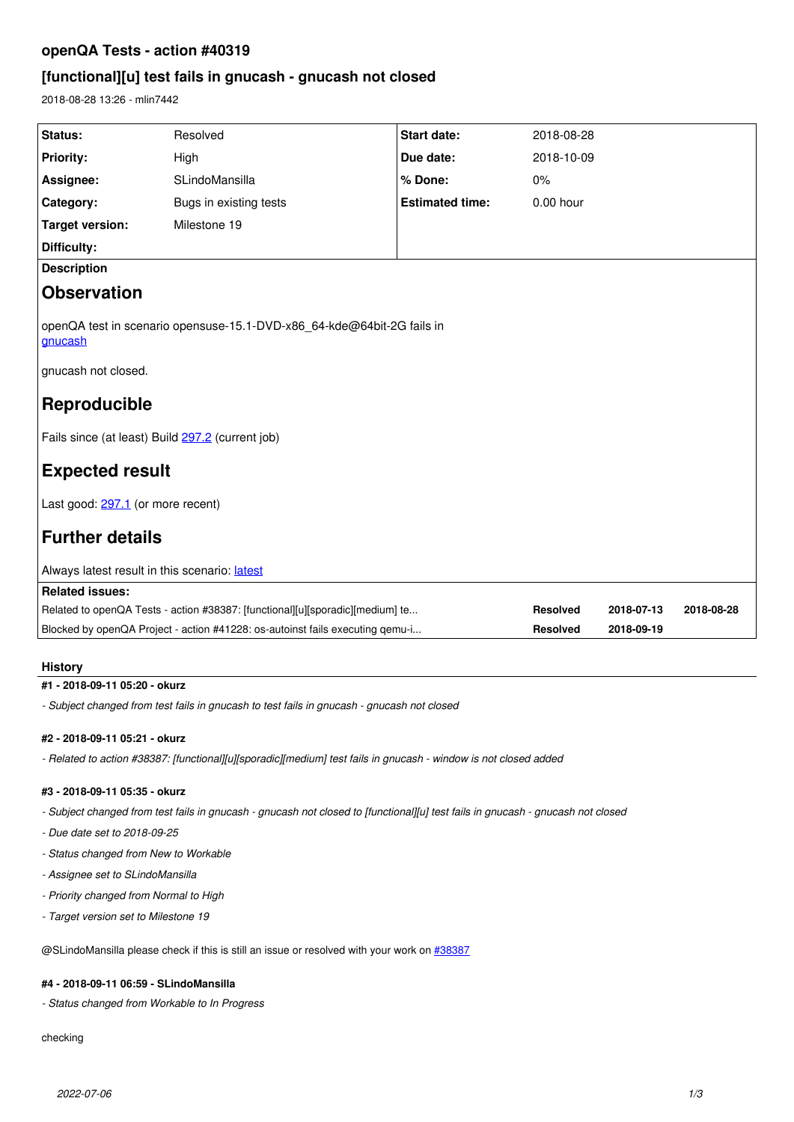# **openQA Tests - action #40319**

# **[functional][u] test fails in gnucash - gnucash not closed**

2018-08-28 13:26 - mlin7442

| Status:                                                                           | Resolved               | <b>Start date:</b>     | 2018-08-28      |            |            |
|-----------------------------------------------------------------------------------|------------------------|------------------------|-----------------|------------|------------|
| <b>Priority:</b>                                                                  | High                   | Due date:              | 2018-10-09      |            |            |
| Assignee:                                                                         | SLindoMansilla         | % Done:                | $0\%$           |            |            |
| Category:                                                                         | Bugs in existing tests | <b>Estimated time:</b> | 0.00 hour       |            |            |
| <b>Target version:</b>                                                            | Milestone 19           |                        |                 |            |            |
| Difficulty:                                                                       |                        |                        |                 |            |            |
| <b>Description</b>                                                                |                        |                        |                 |            |            |
| <b>Observation</b>                                                                |                        |                        |                 |            |            |
| openQA test in scenario opensuse-15.1-DVD-x86_64-kde@64bit-2G fails in<br>gnucash |                        |                        |                 |            |            |
| gnucash not closed.                                                               |                        |                        |                 |            |            |
| Reproducible                                                                      |                        |                        |                 |            |            |
| Fails since (at least) Build 297.2 (current job)                                  |                        |                        |                 |            |            |
| <b>Expected result</b>                                                            |                        |                        |                 |            |            |
| Last good: 297.1 (or more recent)                                                 |                        |                        |                 |            |            |
| <b>Further details</b>                                                            |                        |                        |                 |            |            |
| Always latest result in this scenario: latest                                     |                        |                        |                 |            |            |
| <b>Related issues:</b>                                                            |                        |                        |                 |            |            |
| Related to openQA Tests - action #38387: [functional][u][sporadic][medium] te     |                        |                        | <b>Resolved</b> | 2018-07-13 | 2018-08-28 |
| Blocked by openQA Project - action #41228: os-autoinst fails executing qemu-i     |                        |                        | <b>Resolved</b> | 2018-09-19 |            |

## **History**

## **#1 - 2018-09-11 05:20 - okurz**

*- Subject changed from test fails in gnucash to test fails in gnucash - gnucash not closed*

## **#2 - 2018-09-11 05:21 - okurz**

*- Related to action #38387: [functional][u][sporadic][medium] test fails in gnucash - window is not closed added*

## **#3 - 2018-09-11 05:35 - okurz**

*- Subject changed from test fails in gnucash - gnucash not closed to [functional][u] test fails in gnucash - gnucash not closed*

- *Due date set to 2018-09-25*
- *Status changed from New to Workable*
- *Assignee set to SLindoMansilla*
- *Priority changed from Normal to High*
- *Target version set to Milestone 19*

@SLindoMansilla please check if this is still an issue or resolved with your work on [#38387](https://progress.opensuse.org/issues/38387)

## **#4 - 2018-09-11 06:59 - SLindoMansilla**

*- Status changed from Workable to In Progress*

checking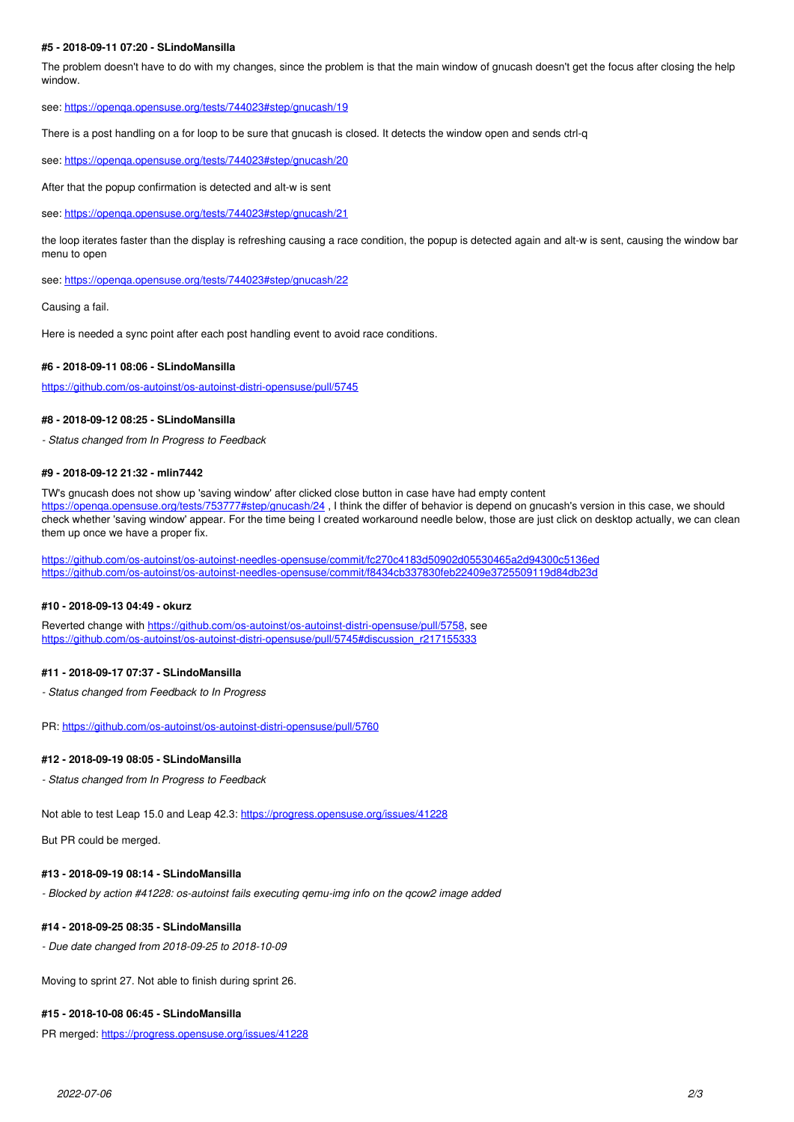### **#5 - 2018-09-11 07:20 - SLindoMansilla**

The problem doesn't have to do with my changes, since the problem is that the main window of gnucash doesn't get the focus after closing the help window.

see: <https://openqa.opensuse.org/tests/744023#step/gnucash/19>

There is a post handling on a for loop to be sure that gnucash is closed. It detects the window open and sends ctrl-q

see: <https://openqa.opensuse.org/tests/744023#step/gnucash/20>

After that the popup confirmation is detected and alt-w is sent

see: <https://openqa.opensuse.org/tests/744023#step/gnucash/21>

the loop iterates faster than the display is refreshing causing a race condition, the popup is detected again and alt-w is sent, causing the window bar menu to open

see: <https://openqa.opensuse.org/tests/744023#step/gnucash/22>

Causing a fail.

Here is needed a sync point after each post handling event to avoid race conditions.

#### **#6 - 2018-09-11 08:06 - SLindoMansilla**

<https://github.com/os-autoinst/os-autoinst-distri-opensuse/pull/5745>

### **#8 - 2018-09-12 08:25 - SLindoMansilla**

*- Status changed from In Progress to Feedback*

#### **#9 - 2018-09-12 21:32 - mlin7442**

TW's gnucash does not show up 'saving window' after clicked close button in case have had empty content https://openqa.opensuse.org/tests/753777#step/gnucash/24, I think the differ of behavior is depend on gnucash's version in this case, we should check whether 'saving window' appear. For the time being I created workaround needle below, those are just click on desktop actually, we can clean them up once we have a proper fix.

<https://github.com/os-autoinst/os-autoinst-needles-opensuse/commit/fc270c4183d50902d05530465a2d94300c5136ed> <https://github.com/os-autoinst/os-autoinst-needles-opensuse/commit/f8434cb337830feb22409e3725509119d84db23d>

### **#10 - 2018-09-13 04:49 - okurz**

Reverted change with <https://github.com/os-autoinst/os-autoinst-distri-opensuse/pull/5758>, see [https://github.com/os-autoinst/os-autoinst-distri-opensuse/pull/5745#discussion\\_r217155333](https://github.com/os-autoinst/os-autoinst-distri-opensuse/pull/5745#discussion_r217155333)

## **#11 - 2018-09-17 07:37 - SLindoMansilla**

*- Status changed from Feedback to In Progress*

PR: <https://github.com/os-autoinst/os-autoinst-distri-opensuse/pull/5760>

### **#12 - 2018-09-19 08:05 - SLindoMansilla**

*- Status changed from In Progress to Feedback*

Not able to test Leap 15.0 and Leap 42.3: <https://progress.opensuse.org/issues/41228>

But PR could be merged.

### **#13 - 2018-09-19 08:14 - SLindoMansilla**

*- Blocked by action #41228: os-autoinst fails executing qemu-img info on the qcow2 image added*

## **#14 - 2018-09-25 08:35 - SLindoMansilla**

*- Due date changed from 2018-09-25 to 2018-10-09*

Moving to sprint 27. Not able to finish during sprint 26.

## **#15 - 2018-10-08 06:45 - SLindoMansilla**

PR merged:<https://progress.opensuse.org/issues/41228>